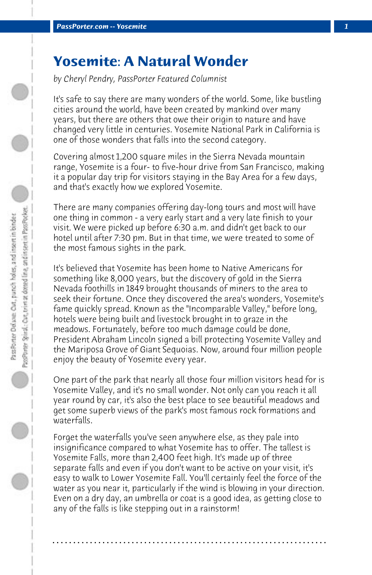## **Yosemite: A Natural Wonder**

*by Cheryl Pendry, PassPorter Featured Columnist*

It's safe to say there are many wonders of the world. Some, like bustling cities around the world, have been created by mankind over many years, but there are others that owe their origin to nature and have changed very little in centuries. Yosemite National Park in California is one of those wonders that falls into the second category.

Covering almost 1,200 square miles in the Sierra Nevada mountain range, Yosemite is a four- to five-hour drive from San Francisco, making it a popular day trip for visitors staying in the Bay Area for a few days, and that's exactly how we explored Yosemite.

There are many companies offering day-long tours and most will have one thing in common - a very early start and a very late finish to your visit. We were picked up before 6:30 a.m. and didn't get back to our hotel until after 7:30 pm. But in that time, we were treated to some of the most famous sights in the park.

It's believed that Yosemite has been home to Native Americans for something like 8,000 years, but the discovery of gold in the Sierra Nevada foothills in 1849 brought thousands of miners to the area to seek their fortune. Once they discovered the area's wonders, Yosemite's fame quickly spread. Known as the "Incomparable Valley," before long, hotels were being built and livestock brought in to graze in the meadows. Fortunately, before too much damage could be done, President Abraham Lincoln signed a bill protecting Yosemite Valley and the Mariposa Grove of Giant Sequoias. Now, around four million people enjoy the beauty of Yosemite every year.

One part of the park that nearly all those four million visitors head for is Yosemite Valley, and it's no small wonder. Not only can you reach it all year round by car, it's also the best place to see beautiful meadows and get some superb views of the park's most famous rock formations and waterfalls.

Forget the waterfalls you've seen anywhere else, as they pale into insignificance compared to what Yosemite has to offer. The tallest is Yosemite Falls, more than 2,400 feet high. It's made up of three separate falls and even if you don't want to be active on your visit, it's easy to walk to Lower Yosemite Fall. You'll certainly feel the force of the water as you near it, particularly if the wind is blowing in your direction. Even on a dry day, an umbrella or coat is a good idea, as getting close to any of the falls is like stepping out in a rainstorm!

**. . . . . . . . . . . . . . . . . . . . . . . . . . . . . . . . . . . . . . . . . . . . . . . . . . . . . . . . . . . . . . . . . .**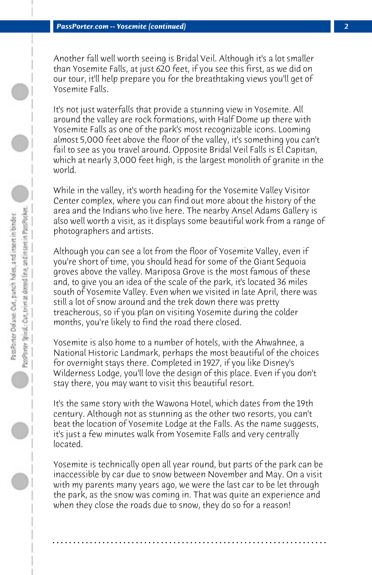Another fall well worth seeing is Bridal Veil. Although it's a lot smaller than Yosemite Falls, at just 620 feet, if you see this first, as we did on our tour, it'll help prepare you for the breathtaking views you'll get of Yosemite Falls.

It's not just waterfalls that provide a stunning view in Yosemite. All around the valley are rock formations, with Half Dome up there with Yosemite Falls as one of the park's most recognizable icons. Looming almost 5,000 feet above the floor of the valley, it's something you can't fail to see as you travel around. Opposite Bridal Veil Falls is El Capitan, which at nearly 3,000 feet high, is the largest monolith of granite in the world.

While in the valley, it's worth heading for the Yosemite Valley Visitor Center complex, where you can find out more about the history of the area and the Indians who live here. The nearby Ansel Adams Gallery is also well worth a visit, as it displays some beautiful work from a range of photographers and artists.

Although you can see a lot from the floor of Yosemite Valley, even if you're short of time, you should head for some of the Giant Sequoia groves above the valley. Mariposa Grove is the most famous of these and, to give you an idea of the scale of the park, it's located 36 miles south of Yosemite Valley. Even when we visited in late April, there was still a lot of snow around and the trek down there was pretty treacherous, so if you plan on visiting Yosemite during the colder months, you're likely to find the road there closed.

Yosemite is also home to a number of hotels, with the Ahwahnee, a National Historic Landmark, perhaps the most beautiful of the choices for overnight stays there. Completed in 1927, if you like Disney's Wilderness Lodge, you'll love the design of this place. Even if you don't stay there, you may want to visit this beautiful resort.

It's the same story with the Wawona Hotel, which dates from the 19th century. Although not as stunning as the other two resorts, you can't beat the location of Yosemite Lodge at the Falls. As the name suggests, it's just a few minutes walk from Yosemite Falls and very centrally located.

Yosemite is technically open all year round, but parts of the park can be inaccessible by car due to snow between November and May. On a visit with my parents many years ago, we were the last car to be let through the park, as the snow was coming in. That was quite an experience and when they close the roads due to snow, they do so for a reason!

**. . . . . . . . . . . . . . . . . . . . . . . . . . . . . . . . . . . . . . . . . . . . . . . . . . . . . . . . . . . . . . . . . .**